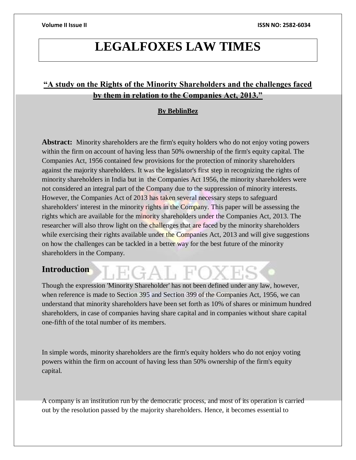## **LEGALFOXES LAW TIMES**

## **"A study on the Rights of the Minority Shareholders and the challenges faced by them in relation to the Companies Act, 2013."**

#### **By BeblinBez**

**Abstract:** Minority shareholders are the firm's equity holders who do not enjoy voting powers within the firm on account of having less than 50% ownership of the firm's equity capital. The Companies Act, 1956 contained few provisions for the protection of minority shareholders against the majority shareholders. It was the legislator's first step in recognizing the rights of minority shareholders in India but in the Companies Act 1956, the minority shareholders were not considered an integral part of the Company due to the suppression of minority interests. However, the Companies Act of 2013 has taken several necessary steps to safeguard shareholders' interest in the minority rights in the Company. This paper will be assessing the rights which are available for the minority shareholders under the Companies Act, 2013. The researcher will also throw light on the challenges that are faced by the minority shareholders while exercising their rights available under the Companies Act, 2013 and will give suggestions on how the challenges can be tackled in a better way for the best future of the minority shareholders in the Company.

## **Introduction**

Though the expression 'Minority Shareholder' has not been defined under any law, however, when reference is made to Section 395 and Section 399 of the Companies Act, 1956, we can understand that minority shareholders have been set forth as 10% of shares or minimum hundred shareholders, in case of companies having share capital and in companies without share capital one-fifth of the total number of its members.

In simple words, minority shareholders are the firm's equity holders who do not enjoy voting powers within the firm on account of having less than 50% ownership of the firm's equity capital.

A company is an institution run by the democratic process, and most of its operation is carried out by the resolution passed by the majority shareholders. Hence, it becomes essential to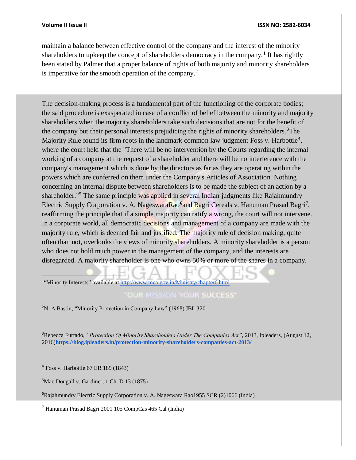maintain a balance between effective control of the company and the interest of the minority shareholders to upkeep the concept of shareholders democracy in the company.**<sup>1</sup>** It has rightly been stated by Palmer that a proper balance of rights of both majority and minority shareholders is imperative for the smooth operation of the company.<sup>2</sup>

The decision-making process is a fundamental part of the functioning of the corporate bodies; the said procedure is exasperated in case of a conflict of belief between the minority and majority shareholders when the majority shareholders take such decisions that are not for the benefit of the company but their personal interests prejudicing the rights of minority shareholders.**<sup>3</sup>**The Majority Rule found its firm roots in the landmark common law judgment Foss v. Harbottle**<sup>4</sup>** , where the court held that the "There will be no intervention by the Courts regarding the internal working of a company at the request of a shareholder and there will be no interference with the company's management which is done by the directors as far as they are operating within the powers which are conferred on them under the Company's Articles of Association. Nothing concerning an internal dispute between shareholders is to be made the subject of an action by a shareholder."<sup>5</sup> The same principle was applied in several Indian judgments like Rajahmundry Electric Supply Corporation v. A. NageswaraRao<sup>6</sup>and Bagri Cereals v. Hanuman Prasad Bagri<sup>7</sup>, reaffirming the principle that if a simple majority can ratify a wrong, the court will not intervene. In a corporate world, all democratic decisions and management of a company are made with the majority rule, which is deemed fair and justified. The majority rule of decision making, quite often than not, overlooks the views of minority shareholders. A minority shareholder is a person who does not hold much power in the management of the company, and the interests are disregarded. A majority shareholder is one who owns 50% or more of the shares in a company.

<sup>1</sup>"Minority Interests" available at<http://www.mca.gov.in/Ministry/chapter6.html>

#### **OUR MISSION YOUR SUCCESS'**

<sup>2</sup>N. A Bastin, "Minority Protection in Company Law" (1968) JBL 320

<sup>3</sup>Rebecca Furtado, *"Protection Of Minority Shareholders Under The Companies Act"*, 2013, Ipleaders, (August 12, 2016)**<https://blog.ipleaders.in/protection-minority-shareholders-companies-act-2013/>**

<sup>4</sup> Foss v. Harbottle 67 ER 189 (1843)

 $\overline{a}$ 

<sup>5</sup>Mac Dougall v. Gardiner, 1 Ch. D 13 (1875)

<sup>6</sup>Rajahmundry Electric Supply Corporation v. A. Nageswara Rao1955 SCR (2)1066 (India)

<sup>7</sup> Hanuman Prasad Bagri 2001 105 CompCas 465 Cal (India)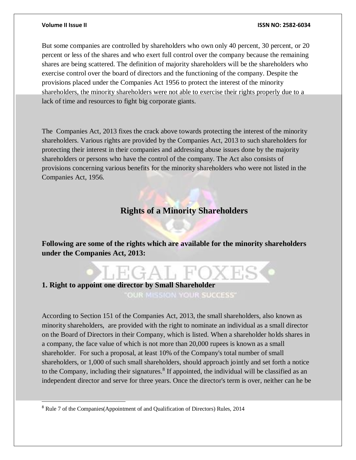$\overline{a}$ 

But some companies are controlled by shareholders who own only 40 percent, 30 percent, or 20 percent or less of the shares and who exert full control over the company because the remaining shares are being scattered. The definition of majority shareholders will be the shareholders who exercise control over the board of directors and the functioning of the company. Despite the provisions placed under the Companies Act 1956 to protect the interest of the minority shareholders, the minority shareholders were not able to exercise their rights properly due to a lack of time and resources to fight big corporate giants.

The Companies Act, 2013 fixes the crack above towards protecting the interest of the minority shareholders. Various rights are provided by the Companies Act, 2013 to such shareholders for protecting their interest in their companies and addressing abuse issues done by the majority shareholders or persons who have the control of the company. The Act also consists of provisions concerning various benefits for the minority shareholders who were not listed in the Companies Act, 1956.

## **Rights of a Minority Shareholders**

**Following are some of the rights which are available for the minority shareholders under the Companies Act, 2013:**

## **1. Right to appoint one director by Small Shareholder**  OUR MISSION YOUR SUCCESS'

According to Section 151 of the Companies Act, 2013, the small shareholders, also known as minority shareholders, are provided with the right to nominate an individual as a small director on the Board of Directors in their Company, which is listed. When a shareholder holds shares in a company, the face value of which is not more than 20,000 rupees is known as a small shareholder. For such a proposal, at least 10% of the Company's total number of small shareholders, or 1,000 of such small shareholders, should approach jointly and set forth a notice to the Company, including their signatures.<sup>8</sup> If appointed, the individual will be classified as an independent director and serve for three years. Once the director's term is over, neither can he be

<sup>8</sup> Rule 7 of the Companies(Appointment of and Qualification of Directors) Rules, 2014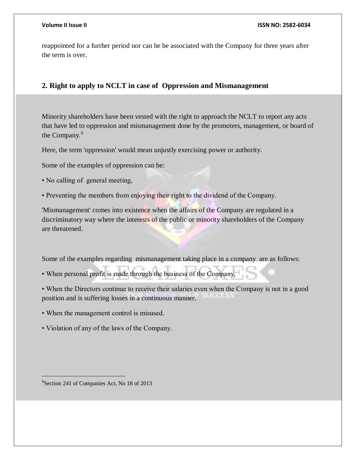reappointed for a further period nor can he be associated with the Company for three years after the term is over.

#### **2. Right to apply to NCLT in case of Oppression and Mismanagement**

Minority shareholders have been vested with the right to approach the NCLT to report any acts that have led to oppression and mismanagement done by the promoters, management, or board of the Company.<sup>9</sup>

Here, the term 'oppression' would mean unjustly exercising power or authority.

Some of the examples of oppression can be:

• No calling of general meeting,

• Preventing the members from enjoying their right to the dividend of the Company.

'Mismanagement' comes into existence when the affairs of the Company are regulated in a discriminatory way where the interests of the public or minority shareholders of the Company are threatened.

Some of the examples regarding mismanagement taking place in a company are as follows:

• When personal profit is made through the business of the Company.

• When the Directors continue to receive their salaries even when the Company is not in a good position and is suffering losses in a continuous manner.

- When the management control is misused.
- Violation of any of the laws of the Company.

<sup>9</sup>Section 241 of Companies Act, No 18 of 2013

 $\overline{a}$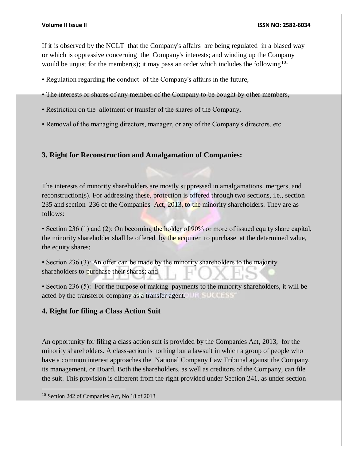If it is observed by the NCLT that the Company's affairs are being regulated in a biased way or which is oppressive concerning the Company's interests; and winding up the Company would be unjust for the member(s); it may pass an order which includes the following<sup>10</sup>:

- Regulation regarding the conduct of the Company's affairs in the future,
- The interests or shares of any member of the Company to be bought by other members,
- Restriction on the allotment or transfer of the shares of the Company,
- Removal of the managing directors, manager, or any of the Company's directors, etc.

#### **3. Right for Reconstruction and Amalgamation of Companies:**

The interests of minority shareholders are mostly suppressed in amalgamations, mergers, and reconstruction(s). For addressing these, protection is offered through two sections, i.e., section 235 and section 236 of the Companies Act, 2013, to the minority shareholders. They are as follows:

• Section 236 (1) and (2): On becoming the holder of 90% or more of issued equity share capital, the minority shareholder shall be offered by the acquirer to purchase at the determined value, the equity shares;

• Section 236 (3): An offer can be made by the minority shareholders to the majority shareholders to purchase their shares; and

• Section 236 (5): For the purpose of making payments to the minority shareholders, it will be acted by the transferor company as a transfer agent.

### **4. Right for filing a Class Action Suit**

An opportunity for filing a class action suit is provided by the Companies Act, 2013, for the minority shareholders. A class-action is nothing but a lawsuit in which a group of people who have a common interest approaches the National Company Law Tribunal against the Company, its management, or Board. Both the shareholders, as well as creditors of the Company, can file the suit. This provision is different from the right provided under Section 241, as under section

 $\overline{a}$ 

<sup>10</sup> Section 242 of Companies Act, No 18 of 2013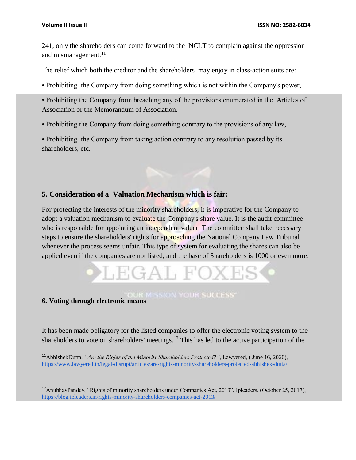241, only the shareholders can come forward to the NCLT to complain against the oppression and mismanagement.<sup>11</sup>

The relief which both the creditor and the shareholders may enjoy in class-action suits are:

• Prohibiting the Company from doing something which is not within the Company's power,

• Prohibiting the Company from breaching any of the provisions enumerated in the Articles of Association or the Memorandum of Association.

• Prohibiting the Company from doing something contrary to the provisions of any law,

• Prohibiting the Company from taking action contrary to any resolution passed by its shareholders, etc.

### **5. Consideration of a Valuation Mechanism which is fair:**

For protecting the interests of the minority shareholders, it is imperative for the Company to adopt a valuation mechanism to evaluate the Company's share value. It is the audit committee who is responsible for appointing an independent valuer. The committee shall take necessary steps to ensure the shareholders' rights for approaching the National Company Law Tribunal whenever the process seems unfair. This type of system for evaluating the shares can also be applied even if the companies are not listed, and the base of Shareholders is 1000 or even more.

# $HGAH$

## **6. Voting through electronic means**

 $\overline{a}$ 

It has been made obligatory for the listed companies to offer the electronic voting system to the shareholders to vote on shareholders' meetings.<sup>12</sup> This has led to the active participation of the

<sup>11</sup>AbhishekDutta, *"Are the Rights of the Minority Shareholders Protected?"*, Lawyered, ( June 16, 2020), <https://www.lawyered.in/legal-disrupt/articles/are-rights-minority-shareholders-protected-abhishek-dutta/>

<sup>&</sup>lt;sup>12</sup>AnubhavPandey, "Rights of minority shareholders under Companies Act, 2013", Ipleaders, (October 25, 2017), <https://blog.ipleaders.in/rights-minority-shareholders-companies-act-2013/>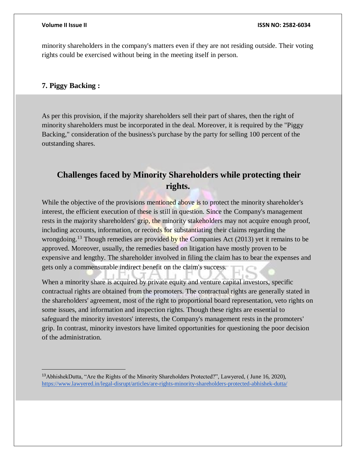minority shareholders in the company's matters even if they are not residing outside. Their voting rights could be exercised without being in the meeting itself in person.

#### **7. Piggy Backing :**

 $\overline{a}$ 

As per this provision, if the majority shareholders sell their part of shares, then the right of minority shareholders must be incorporated in the deal. Moreover, it is required by the "Piggy Backing," consideration of the business's purchase by the party for selling 100 percent of the outstanding shares.

## **Challenges faced by Minority Shareholders while protecting their rights.**

While the objective of the provisions mentioned above is to protect the minority shareholder's interest, the efficient execution of these is still in question. Since the Company's management rests in the majority shareholders' grip, the minority stakeholders may not acquire enough proof, including accounts, information, or records for substantiating their claims regarding the wrongdoing.<sup>13</sup> Though remedies are provided by the Companies Act (2013) yet it remains to be approved. Moreover, usually, the remedies based on litigation have mostly proven to be expensive and lengthy. The shareholder involved in filing the claim has to bear the expenses and gets only a commensurable indirect benefit on the claim's success.

When a minority share is acquired by private equity and venture capital investors, specific contractual rights are obtained from the promoters. The contractual rights are generally stated in the shareholders' agreement, most of the right to proportional board representation, veto rights on some issues, and information and inspection rights. Though these rights are essential to safeguard the minority investors' interests, the Company's management rests in the promoters' grip. In contrast, minority investors have limited opportunities for questioning the poor decision of the administration.

<sup>13</sup>AbhishekDutta, "Are the Rights of the Minority Shareholders Protected?", Lawyered, ( June 16, 2020), <https://www.lawyered.in/legal-disrupt/articles/are-rights-minority-shareholders-protected-abhishek-dutta/>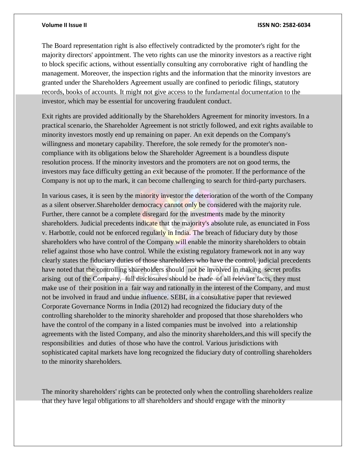The Board representation right is also effectively contradicted by the promoter's right for the majority directors' appointment. The veto rights can use the minority investors as a reactive right to block specific actions, without essentially consulting any corroborative right of handling the management. Moreover, the inspection rights and the information that the minority investors are granted under the Shareholders Agreement usually are confined to periodic filings, statutory records, books of accounts. It might not give access to the fundamental documentation to the investor, which may be essential for uncovering fraudulent conduct.

Exit rights are provided additionally by the Shareholders Agreement for minority investors. In a practical scenario, the Shareholder Agreement is not strictly followed, and exit rights available to minority investors mostly end up remaining on paper. An exit depends on the Company's willingness and monetary capability. Therefore, the sole remedy for the promoter's noncompliance with its obligations below the Shareholder Agreement is a boundless dispute resolution process. If the minority investors and the promoters are not on good terms, the investors may face difficulty getting an exit because of the promoter. If the performance of the Company is not up to the mark, it can become challenging to search for third-party purchasers.

In various cases, it is seen by the minority investor the deterioration of the worth of the Company as a silent observer.Shareholder democracy cannot only be considered with the majority rule. Further, there cannot be a complete disregard for the investments made by the minority shareholders. Judicial precedents indicate that the majority's absolute rule, as enunciated in Foss v. Harbottle, could not be enforced regularly in India. The breach of fiduciary duty by those shareholders who have control of the Company will enable the minority shareholders to obtain relief against those who have control. While the existing regulatory framework not in any way clearly states the fiduciary duties of those shareholders who have the control, judicial precedents have noted that the controlling shareholders should not be involved in making secret profits arising out of the Company, full disclosures should be made of all relevant facts, they must make use of their position in a fair way and rationally in the interest of the Company, and must not be involved in fraud and undue influence. SEBI, in a consultative paper that reviewed Corporate Governance Norms in India (2012) had recognized the fiduciary duty of the controlling shareholder to the minority shareholder and proposed that those shareholders who have the control of the company in a listed companies must be involved into a relationship agreements with the listed Company, and also the minority shareholders,and this will specify the responsibilities and duties of those who have the control. Various jurisdictions with sophisticated capital markets have long recognized the fiduciary duty of controlling shareholders to the minority shareholders.

The minority shareholders' rights can be protected only when the controlling shareholders realize that they have legal obligations to all shareholders and should engage with the minority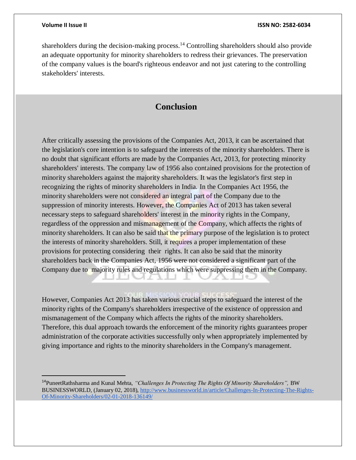$\overline{a}$ 

shareholders during the decision-making process.<sup>14</sup> Controlling shareholders should also provide an adequate opportunity for minority shareholders to redress their grievances. The preservation of the company values is the board's righteous endeavor and not just catering to the controlling stakeholders' interests.

## **Conclusion**

After critically assessing the provisions of the Companies Act, 2013, it can be ascertained that the legislation's core intention is to safeguard the interests of the minority shareholders. There is no doubt that significant efforts are made by the Companies Act, 2013, for protecting minority shareholders' interests. The company law of 1956 also contained provisions for the protection of minority shareholders against the majority shareholders. It was the legislator's first step in recognizing the rights of minority shareholders in India. In the Companies Act 1956, the minority shareholders were not considered an integral part of the Company due to the suppression of minority interests. However, the Companies Act of 2013 has taken several necessary steps to safeguard shareholders' interest in the minority rights in the Company, regardless of the oppression and mismanagement of the Company, which affects the rights of minority shareholders. It can also be said that the primary purpose of the legislation is to protect the interests of minority shareholders. Still, it requires a proper implementation of these provisions for protecting considering their rights. It can also be said that the minority shareholders back in the Companies Act, 1956 were not considered a significant part of the Company due to majority rules and regulations which were suppressing them in the Company.

However, Companies Act 2013 has taken various crucial steps to safeguard the interest of the minority rights of the Company's shareholders irrespective of the existence of oppression and mismanagement of the Company which affects the rights of the minority shareholders. Therefore, this dual approach towards the enforcement of the minority rights guarantees proper administration of the corporate activities successfully only when appropriately implemented by giving importance and rights to the minority shareholders in the Company's management.

<sup>&</sup>lt;sup>14</sup>PuneetRathsharma and Kunal Mehta, "Challenges In Protecting The Rights Of Minority Shareholders", BW BUSINESSWORLD, (January 02, 2018), [http://www.businessworld.in/article/Challenges-In-Protecting-The-Rights-](http://www.businessworld.in/article/Challenges-In-Protecting-The-Rights-Of-Minority-Shareholders/02-01-2018-136149/)[Of-Minority-Shareholders/02-01-2018-136149/](http://www.businessworld.in/article/Challenges-In-Protecting-The-Rights-Of-Minority-Shareholders/02-01-2018-136149/)